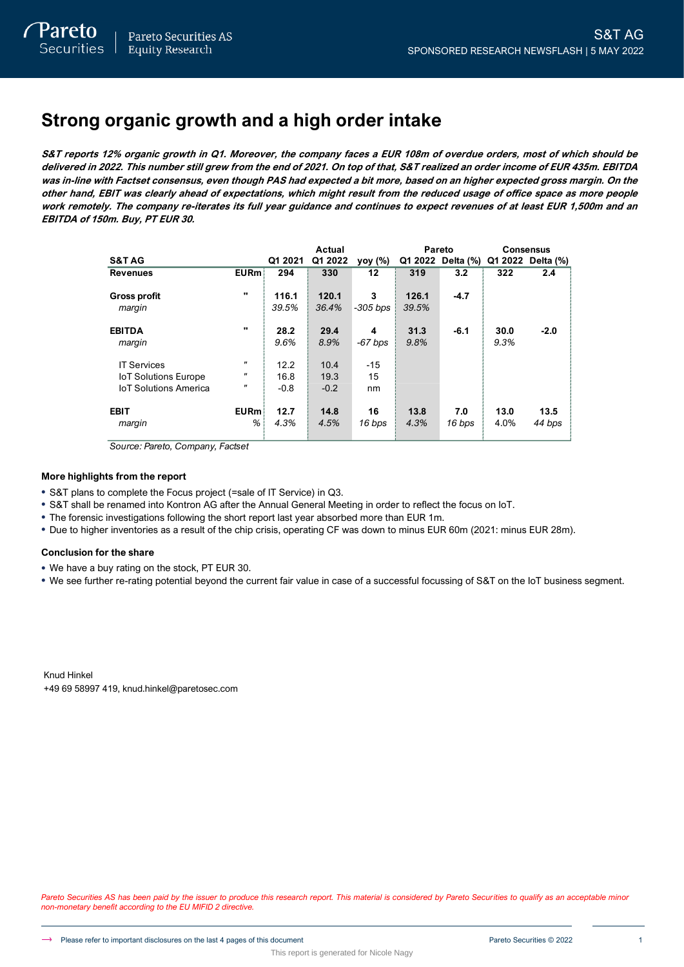# **Strong organic growth and a high order intake**

**S&T reports 12% organic growth in Q1. Moreover, the company faces a EUR 108m of overdue orders, most of which should be delivered in 2022. This number still grew from the end of 2021. On top of that, S&T realized an order income of EUR 435m. EBITDA was in-line with Factset consensus, even though PAS had expected a bit more, based on an higher expected gross margin. On the other hand, EBIT was clearly ahead of expectations, which might result from the reduced usage of office space as more people work remotely. The company re-iterates its full year guidance and continues to expect revenues of at least EUR 1,500m and an EBITDA of 150m. Buy, PT EUR 30.**

|                                                                                   |                                                              |                        | Actual                 |                   | <b>Pareto</b>  |                   |              | <b>Consensus</b>  |
|-----------------------------------------------------------------------------------|--------------------------------------------------------------|------------------------|------------------------|-------------------|----------------|-------------------|--------------|-------------------|
| <b>S&amp;TAG</b>                                                                  |                                                              | Q1 2021                | Q1 2022                | yoy (%)           |                | Q1 2022 Delta (%) |              | Q1 2022 Delta (%) |
| <b>Revenues</b>                                                                   | <b>EURm</b>                                                  | 294                    | 330                    | 12                | 319            | 3.2               | 322          | 2.4               |
| <b>Gross profit</b><br>margin                                                     | $\mathbf{u}$                                                 | 116.1<br>39.5%         | 120.1<br>36.4%         | 3<br>$-305$ bps   | 126.1<br>39.5% | $-4.7$            |              |                   |
| <b>EBITDA</b><br>margin                                                           | $\mathbf{u}$                                                 | 28.2<br>9.6%           | 29.4<br>8.9%           | 4<br>$-67$ bps    | 31.3<br>9.8%   | $-6.1$            | 30.0<br>9.3% | $-2.0$            |
| <b>IT Services</b><br><b>IoT Solutions Europe</b><br><b>IoT Solutions America</b> | $^{\prime\prime}$<br>$\pmb{\mathsf{u}}$<br>$^{\prime\prime}$ | 12.2<br>16.8<br>$-0.8$ | 10.4<br>19.3<br>$-0.2$ | $-15$<br>15<br>nm |                |                   |              |                   |
| <b>EBIT</b><br>margin                                                             | <b>EURm</b><br>%                                             | 12.7<br>4.3%           | 14.8<br>4.5%           | 16<br>16 bps      | 13.8<br>4.3%   | 7.0<br>16 bps     | 13.0<br>4.0% | 13.5<br>44 bps    |

*Source: Pareto, Company, Factset*

### **More highlights from the report**

- S&T plans to complete the Focus project (=sale of IT Service) in Q3.
- S&T shall be renamed into Kontron AG after the Annual General Meeting in order to reflect the focus on IoT.
- The forensic investigations following the short report last year absorbed more than EUR 1m.
- Due to higher inventories as a result of the chip crisis, operating CF was down to minus EUR 60m (2021: minus EUR 28m).

### **Conclusion for the share**

- We have a buy rating on the stock, PT EUR 30.
- We see further re-rating potential beyond the current fair value in case of a successful focussing of S&T on the IoT business segment.

Knud Hinkel +49 69 58997 419, knud.hinkel@paretosec.com

Pareto Securities AS has been paid by the issuer to produce this research report. This material is considered by Pareto Securities to qualify as an acceptable minor *non-monetary benefit according to the EU MIFID 2 directive.*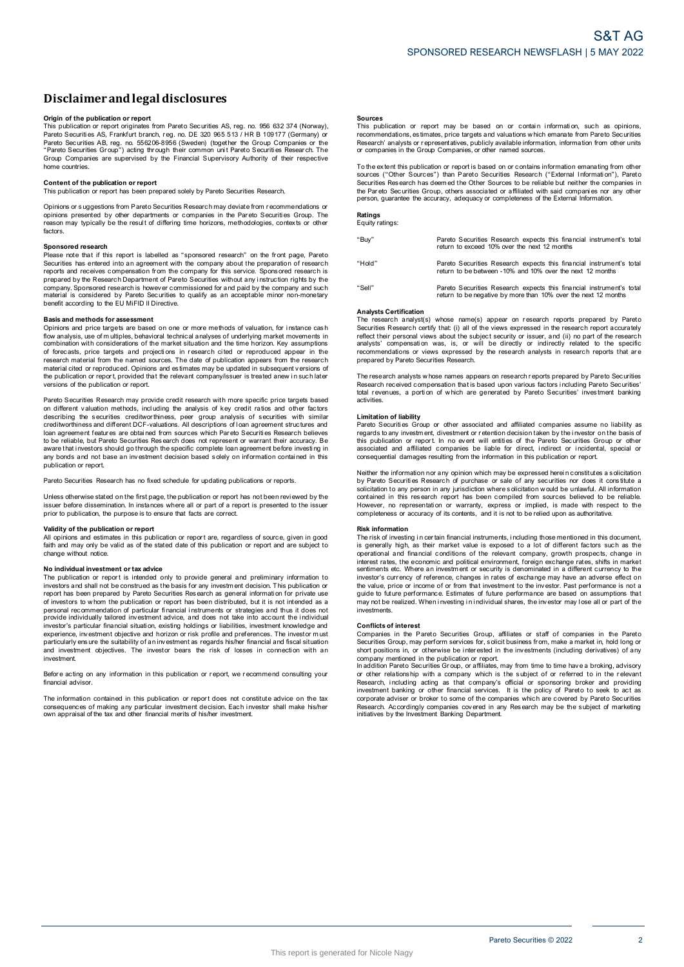### **Disclaimerandlegal disclosures**

**Origin <b>of the publication or report**<br>This publication or report originates from Pareto Securities AS, reg. no. 956 632 374 (Norway), Pareto Securiti es AS, Frankfurt branch, r eg. no. DE 320 965 513 / HR B 109177 (Germany) or Pareto Securities AB, reg. no. 556206-8956 (Sweden) (together the Group Companies or the<br>"Pareto Securities Group") acting through their common unit Pareto Securities Research. The<br>Group Companies are supervised by the Fin home countries.

#### **Content of the publication or report**

This publication or report has been prepared solely by Pareto Securities Research.

Opinions or s uggestions from Pareto Securities Research may deviate from r ecommendations or opinions presented by other departments or companies in the Pareto Securities Group. The<br>reason may typically be the result of differing time horizons, methodologies, contexts or other factors.

### **Sponsored research**

Please note that if this report is labelled as "sponsored research" on the front page, Pareto Securities has entered into an agreement with the company about the preparation of research<br>reports and receives compensation from the company for this service. Sponsored research is prepared by the Research Department of Pareto Securities without any instruction rights by the company. Sponsored research is however commissioned for and paid by the company and such material is considered by Pareto Securities to qualify as an acceptable minor non-monetary benefit according to the EU MiFID II Directive.

### **Basis and methods for assessment**

Opinions and price targets are based on one or more methods of valuation, for instance cash flow analysis, use of m ultiples, behavioral technical analyses o f underlying market movements i n combination with considerations of the market situation and the time horizon. Key assumptions of forecasts, price targets and projections in research cited or reproduced appear in the research material from the named sources. The date of publication appears from the research material cited or reproduced. Opinions and estimates may be updated in subsequent versions of the publication or report, provided that the relevant company/issuer is treated anew in such later<br>versions of the publication or report.

Pareto Securities Research may provide credit research with more specific price targets based on different valuation methods, incl uding the analysis of key credit ratios and other factors describing the securities creditworthiness, peer group analysis of securities with similar<br>creditworthinessand different DCF-valuations. All descriptions of loan agreement structures and<br>loan agreement features are obtaine to be reliable, but Pareto Securities Research does not represent or warrant their accuracy. Be<br>aware that investors should go through the specific complete loan agreement before investing in any bonds and not base an investment decision based solely on information contained in this publication or report.

Pareto Securities Research has no fixed schedule for updating publications or reports.

Unless otherwise stated on the first page, the publication or report has not been reviewed by the issuer before dissemination. In instances where all or part of a report is presented to the issuer<br>prior to publication, the purpose is to ensure that facts are correct.

#### **Validity of the publication or report**

All opinions and estimates in this publication or report are, regardless of source, given in good<br>faith and may only be valid as of the stated date of this publication or report and are subject to change without notice.

#### **N o individual investment o r tax advice**

The publication or report is intended only to provide general and preliminary information to investors and shall not be construed as the basis for any investment decision. This publication or report has been prepared by Pareto Securities Research as general information for private use of investors to whom the publication or report has been distributed, but it is not intended as a<br>personal recommendation of particular financial instruments or strategies and thus it does not provide individually tailored investment advice, and does not take into account the i ndividual investor's particular financial situati on, existing holdings or liabilities, investment knowledge and experience, investment objective and horizon or risk profile and preferences. The investor must<br>particularly ensure the suitability of an investment as regards his/her financial and fiscal situation and investment objectives. The investor bears the risk of losses in connection with an investment.

Before acting on any information in this publication or report, we recommend consulting your financial advisor.

The information contained in this publication or report does not constitute advice on the tax consequences of making any particular investment decision. Each investor shall make his/her<br>own appraisal of the tax and other financial merits of his/her investment.

**Sources**<br>This publication or report may be based on or contain information, such as opinions, recommendations, es timates, price targets and valuations w hich emanate from Pareto Securities Research' analysts or representatives, publicly available information, information from other units<br>or companies in the Group Companies, or other named sources.

To the extent this publication or report is based on or contains information emanating from other<br>sources ("Other Sources") than Pareto Securities Research ("External Information"), Pareto Securities Res earch has deem ed the Other Sources to be reliable but neither the companies in the Par eto Securities Group, others associated or affiliated with said compani es nor any other person, guarantee the accuracy, adequacy or completeness of the External Information.

### **Ratings** Equity ratings:

| "Buy"  | Pareto Securities Research expects this financial instrument's total<br>return to exceed 10% over the next 12 months                   |  |
|--------|----------------------------------------------------------------------------------------------------------------------------------------|--|
| "Hold" | Pareto Securities Research expects this financial instrument's total<br>return to be between -10% and 10% over the next 12 months      |  |
| "Sell" | Pareto Securities Research expects this financial instrument's total<br>return to be negative by more than 10% over the next 12 months |  |

#### **Analysts Certification**

The research analyst(s) whose name(s) appear on research reports prepared by Pareto Securities Research certify that: (i) all of the views expressed in the research report accurately reflect their personal views about the subject security or issuer, and (ii) no part of the research analysts' compensation was, is, or will be directly or indirectly related to the specific analysis compensation was, is, when the direct in the commendations or views expressed by the research analysts in research reports that are prepared by Pareto Securities Research.

The research analysts w hose names appears on research reports prepared by Pareto Securities<br>Research received compensation that is based upon various factors i ncluding Pareto Securities' total revenues, a portion of which are generated by Pareto Securities' investment banking activities.

#### **Limitation of liability**

Pareto Securities Group or other associated and affiliated companies assume no liability as<br>regards to any investment, divestment or retention decision taken by the investor on the basis of this publication or report. In no event will entities of the Pareto Securities Group or other<br>associated and affiliated companies be liable for direct, indirect or incidental, special or consequential damages resulting from the information in this publication or report.

Neither the information nor any opinion which may be expressed herein constitutes a solicitation<br>by Pareto Securities Research of purchase or sale of any securities nor does it constitute a solicitation to any person in any jurisdiction where solicitation would be unlawful. All information contained in this research report has been compiled from sources believed to be reliable. However, no representation or warranty, express or implied, is made with respect to the<br>completeness or accuracy of its contents, and it is not to be relied upon as authoritative.

#### **Risk information**

The risk of investing in certain financial instruments, including those mentioned in this document,<br>is generally high, as their market value is exposed to a lot of different factors such as the operational and financial conditions of the relevant company, growth prospects, change in<br>interest rates, the economic and political environment, foreign exchange rates, shifts in market sentiments etc. Where an investment or security is denominated in a different currency to the investor's currency of reference, changes in rates of exchange may have an adverse effect on the value, price or income of or from that investment to the investor. Past performance is not a<br>guide to future performance. Estimates of future performance are based on assumptions that may not be realized. When investing in individual shares, the investor may lose all or part of the investments.

#### **Conflicts of interest**

Companies in the Pareto Securities Group, affiliates or staff of companies in the Pareto<br>Securities Group, may perform services for, solicit business from, make a market in, hold long or short positions in, or otherwise be interested in the investments (including derivatives) of any

company mentioned in the publication or report.<br>In addition Pareto Securities Group, or affiliates, may from time to time have a broking, advisory<br>or other relationship with a company which is the subject of or referred to Research, including acting as that company's official or sponsoring broker and providing<br>investment banking or other financial services. It is the policy of Pareto to seek to act as corporate adviser or broker to some of the companies which are covered by Pareto Securities Research. Accordingly companies covered in any Research may be the subject of marketing<br>initiatives by the Investment Banking Department.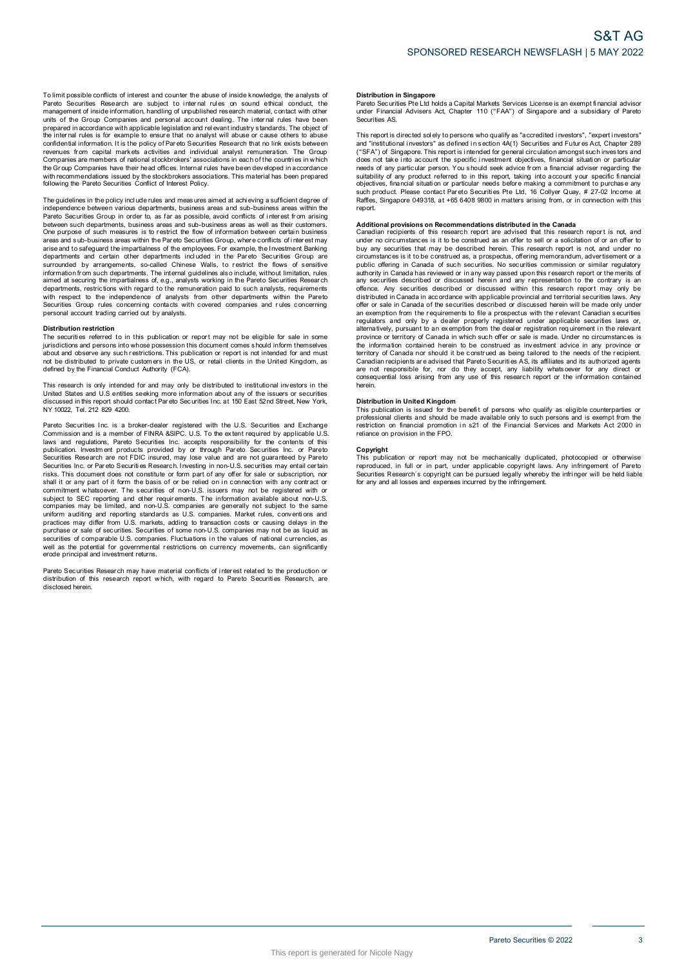The guidelines in the policy include rules and meas ures aimed at achi eving a sufficient degree of independence between various departments, business areas and sub-business areas within the Pareto Securities Group in order to, as far as possible, avoid conflicts of interest from arising between such departments, business areas and sub-business areas as well as their customers.<br>One purpose of such measures is to restrict the flow of information between certain business areas and s ub-business areas within the Par eto Securities Group, wher e conflicts of i nter est may arise and to safeguard the impartialness of the employees. For example, the Investment Banking<br>departments and certain other departments included in the Pareto Securities Group are surrounded by arrangements, so-called Chinese Walls, to restrict the flows of sensitive information from such departments. The internal guidelines also include, without limitation, rules<br>aimed at securing the impartialness of, e.g., analysts working in the Pareto Securities Research departments, restrictions with regard to the remuneration paid to such analysts, requirements<br>with respect to the independence of analysts from other departments within the Pareto<br>Securities Group rules concerning contacts personal account trading carried out b y analysts.

#### **Distribution restriction**

The securities referred to in this publication or report may not be eligible for sale in some jurisdictions and persons into whose possession this document comes s hould inform themselves about and observe any such restrictions. This publication or report is not intended for and must<br>not be distributed to private customers in the US, or retail clients in the United Kingdom, as defined by the Financial Conduct Authority (FCA).

This research is only intended for and may only be distributed to institutional investors in the United States and U.S entities seeking more information about any of the issuers or securities<br>discussed in this report should contact Pareto Securities Inc. at 150 East 52nd Street, New York, N Y 10022, Tel. 212 829 4200.

Pareto Securities Inc. is a broker-dealer registered with the U.S. Securities and Exchange<br>Commission and is a member of FINRA &SIPC. U.S. To the extent required by applicable U.S. laws and regulations, Pareto Securities Inc. accepts responsibility for the contents of this<br>publication. Investment products provided by or through Pareto Securities Inc. or Pareto<br>Securities Research are not FDIC insured Securities Inc. or Pareto Securities Research. Investing in non-U.S. securities may entail certain<br>risks. This document does not constitute or form part of any offer for sale or subscription, nor shall it or any part of it form the basis of or be relied on in connection with any contract or<br>commitment whatsoever. The securities of non-U.S. issuers may not be registered with or subject to SEC reporting and other requirements. The information available about non-U.S.<br>companies may be limited, and non-U.S. companies are generally not subject to the same uniform auditing and reporting standards as U.S. companies. Market rules, conventions and<br>practices may differ from U.S. markets, adding to transaction costs or causing delays in the purchase or sale of securities. Securities of some non-U.S. companies may not be as liquid as<br>securities of comparable U.S. companies. Fluctuations in the values of national currencies, as well as the potential for governmental r estrictions on currency movements, can significantly erode principal and investment returns.

Pareto Securities Resear ch may have material conflicts of i nter est related to the production or distribution of this research report w hich, with regard to Pareto Securiti es Research, are disclosed herein.

#### **Distribution in Singapore**

Pareto Securities Pte Ltd holds a Capital Markets Services License is an exempt financial advisor under Financial Advisers Act, Chapter 110 ("FAA") of Singapore and <sup>a</sup> subsidiary of Pareto Securities AS.

This report is directed sol ely to persons who qualify as "accredited investors", "expert investors" and "institutional investors" as defined in section 4A(1) Securities and Futures Act, Chapter 289 ("SFA") of Singapore. This report is intended for general circulation amongst such investors and does not take i nto account the specific i nvestment objectives, financial situati on or particular needs of any particular person. You s hould seek advice from a financial adviser regarding the suitability of any product referred to in this report, taking into account your specific financial<br>objectives, financial situation or particular needs before making a commitment to purchase any such product. Please contact Par eto Securities Pte Ltd, 16 Collyer Quay, # 27-02 Income at Raffles, Singapore 049318, a t +65 6408 9800 i n matters arising from, or i n connection with this report.

**Additional provisions on Recommendations distributed in the Canada<br>Canadian recipients of this research report are advised that this research report is not, and** under no circumstances is it to be construed as an offer to sell or a solicitation of or an offer to buy any securities that may be described herein. This research report is not, and under no<br>circumstances is it to be construed as, a prospectus, offering memorandum, advertisement or a public offering in Canada of such securities. No securities commission or similar regulatory authority in Canada has reviewed or in any way passed upon this research report or the merits of<br>any securities described or discussed herein and any representation to the contrary is an offence. Any securities described or discussed within this research report may only be distributed in Canada in accordance with applicable provincial and territorial securities laws. Any offer or sale in Canada of the securities described or discussed herein will be made only under an exemption from the r equirements to file a prospectus with the r elevant Canadian s ecurities regulators and only by a dealer properly registered under applicable securities laws or,<br>alternatively, pursuant to an exemption from the dealer registration requirement in the relevant province or territory of Canada in which such offer or sale is made. Under no circumstances is the information contained herein to be construed as investment advice in any province or territory of Canada nor should it be construed as being tailored to the needs of the recipient.<br>Canadian recipients are advised that Pareto Securities AS, its affiliates and its authorized agents are not responsible for, nor do they accept, any liability whatsoever for any direct or<br>consequential loss arising from any use of this research report or the information contained herein.

**Distribution in United Kingdom**<br>This publication is issued for the benefit of persons who qualify as eligible counterparties or professional clients and should be made available only to such persons and is exempt from the<br>restriction on financial promotion in s21 of the Financial Services and Markets Act 2000 in reliance on provision in the FPO.

#### **Copyright**

This publication or report may not be mechanically duplicated, photocopied or otherwise reproduced, in full or in part, under applicable copyright laws. Any infringement of Pareto<br>Securities Research´s copyright can be pursued legally whereby the infringer will be held liable for any and all losses and expenses incurred b y the infringement.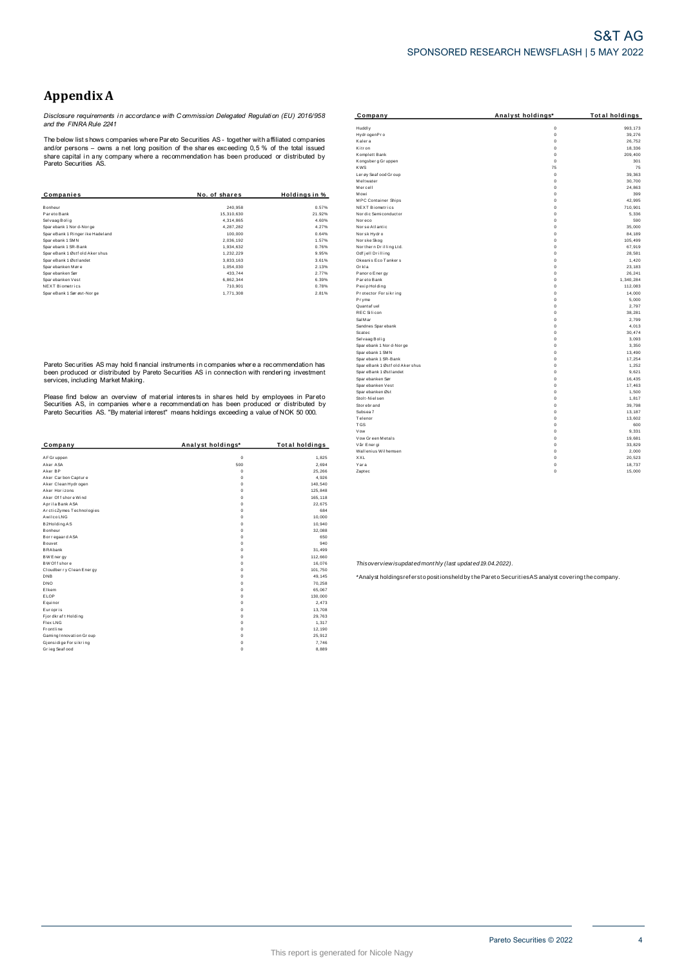## **Appendix A**

Disclosure requirements in accordance with Commission Delegated Regulation (EU) 2016/958<br>and the FINRA Rule 2241

The below list shows companies where Pareto Securities AS - together with affiliated companies The better that shows comparing write Prat ato Securities AS - together with all that comparing and/or persons – owns a net long position of the shares exceeding 0,5 % of the total issued share capital in any company where

| Companies                       | No. of shares | Holdings in % |
|---------------------------------|---------------|---------------|
|                                 |               |               |
| Bonheur                         | 240.958       | 0.57%         |
| Par eto Bank                    | 15.310.630    | 21.92%        |
| Selvaag Bolig                   | 4.314.865     | 4.60%         |
| Spar ebank 1 Nor d-Nor ge       | 4.287.282     | 4.27%         |
| SpareBank 1 Ringer ike Hadeland | 100.000       | 0.64%         |
| Sparebank 1 SMN                 | 2.036.192     | 1.57%         |
| Sparebank 1 SR-Bank             | 1.934.632     | 0.76%         |
| SpareBank 1 Østf old Aker shus  | 1.232.229     | 9.95%         |
| SpareBank 1 Østlandet           | 3.833.163     | 3.61%         |
| Sparebanken Møre                | 1.054.030     | 2.13%         |
| Spar ebanken Sør                | 433.744       | 2.77%         |
| Sparebanken Vest                | 6.862.344     | 6.39%         |
| <b>NEXT Biometrics</b>          | 710.901       | 0.78%         |
| SpareBank 1 Sør øst-Nor ge      | 1.771.308     | 2.81%         |

Pareto Securities AS may hold financial instruments in companies where a recommendation has been produced or distributed by Pareto Securities AS in connection with rendering investment<br>services, including Market Making.

Please find below an overview of material interests in shares held by employees in Pareto<br>Securities AS, in companies where a recommendation has been produced or distributed by<br>Pareto Securities AS. "By material interest"

| Company                  | Analyst holdings* | <b>Total holdings</b> |
|--------------------------|-------------------|-----------------------|
| AF Gr uppen              | $\mathbf 0$       | 1.825                 |
| Aker ASA                 | 500               | 2.694                 |
| Aker RP                  | $\Omega$          | 25,266                |
| Aker Carbon Capture      | $\Omega$          | 4,926                 |
| Aker Clean Hydrogen      | $\mathbf 0$       | 140,540               |
| Aker Horizons            | $\mathbf 0$       | 125,848               |
| Aker Of f shore Wind     | $\Omega$          | 165,118               |
| Aprila Bank ASA          | $\mathbf 0$       | 22.675                |
| ArcticZymes Technologies | $\mathbf 0$       | 684                   |
| Awilco LNG               | $\Omega$          | 10.000                |
| B2Holding AS             | $\mathbf 0$       | 10,940                |
| <b>Bonheur</b>           | $\Omega$          | 32.088                |
| Bor regaar d ASA         | $\mathbf 0$       | 650                   |
| Bouvet                   | $\Omega$          | 940                   |
| <b>BRAbank</b>           | $\mathbf 0$       | 31.499                |
| BW Ener gy               | $\mathbf 0$       | 112,660               |
| BW Of f shore            | $\mathbf 0$       | 16,076                |
| Cloudberry Clean Energy  | $\Omega$          | 101.750               |
| <b>DNB</b>               | $\mathbf 0$       | 49.145                |
| <b>DNO</b>               | $\mathbf 0$       | 70,258                |
| Elkem                    | $\Omega$          | 65,067                |
| ELOP                     | $\Omega$          | 130,000               |
| Equinor                  | $\Omega$          | 2.473                 |
| Europris                 | $\Omega$          | 13,708                |
| Fj or dkr af t Holding   | $\mathbf 0$       | 29.763                |
| Flex LNG                 | $\mathbf 0$       | 1,317                 |
| Frontline                | $\mathbf 0$       | 12,190                |
| Gaming Innovation Group  | $\Omega$          | 25,912                |
| Gjensidige For sikring   | $\mathbf 0$       | 7.746                 |
| Grieg Seaf ood           | $\mathbf 0$       | 8,889                 |

| Company                        | Analyst holdings* | <b>Total holdings</b> |
|--------------------------------|-------------------|-----------------------|
| Huddly                         | $\mathbf 0$       | 993.173               |
| Hydr ogenPro                   | $\Omega$          | 39.276                |
| Kalera                         | $\mathbf 0$       | 26,752                |
| Kitr on                        | $\mathbf 0$       | 18,336                |
| Komplett Bank                  | $\mathbf 0$       | 209,400               |
| Kongsber g Gr uppen            | $\mathbf 0$       | 301                   |
| <b>KWS</b>                     | 75                | 75                    |
| Ler øy Seaf ood Gr oup         | $\mathbf 0$       | 39,363                |
| Meltwater                      | $\mathbf 0$       | 30,700                |
| Mercell                        | $\mathbf 0$       | 24,863                |
| Mowi                           | $\mathbf 0$       | 399                   |
| <b>MPC</b> Container Ships     | $\mathbf 0$       | 42.995                |
| NEXT Biometrics                | $\mathbf 0$       | 710,901               |
| Nor dic Semi conductor         | $\mathbf 0$       | 5,336                 |
| Nor eco                        | $\mathbf 0$       | 590                   |
| Nor se Atlantic                | $\mathbf 0$       | 35,000                |
| Norsk Hydro                    | $\mathbf 0$       | 84.189                |
| Nor ske Skog                   | $\mathbf 0$       | 105.499               |
| Northern Drilling Ltd.         | $\mathbf 0$       | 67,919                |
| Odf jell Drilling              | $\mathbf 0$       | 28,581                |
| Okeanis Eco Tankers            | $\mathbf 0$       | 1,420                 |
| Orkla                          | $\mathbf 0$       | 23,183                |
| Panor o Ener gy                | $\mathbf 0$       | 26.241                |
| Par eto Bank                   | $\mathbf 0$       | 1,340,284             |
| Pexip Holding                  | $\mathbf 0$       | 112,083               |
| Protector Forsikring           | $\mathbf 0$       | 14,000                |
| Pryme                          | $\mathbf 0$       | 5,000                 |
| Quantaf uel                    | $\mathbf 0$       | 2.797                 |
| <b>REC Silicon</b>             | $\mathbf 0$       | 38,281                |
| Sal M ar                       | $\mathbf 0$       | 2,799                 |
| Sandnes Sparebank              | $\mathbf 0$       | 4.013                 |
| Scatec                         | $\mathbf 0$       | 30,474                |
| Selvaag Bolig                  | $\mathbf 0$       | 3.093                 |
| Spar ebank 1 Nor d-Nor ge      | $\mathbf 0$       | 3.350                 |
| Spar ebank 1 SMN               | $\mathbf 0$       | 13,490                |
| Spar ebank 1 SR-Bank           | $\mathbf 0$       | 17.254                |
| SpareBank 1 Østf old Aker shus | $\mathbf 0$       | 1,252                 |
| SpareBank 1 Østlandet          | $\mathbf 0$       | 9,621                 |
| Spar ebanken Sør               | $\mathbf 0$       | 16.435                |
| Spar ebanken Vest              | $\mathbf 0$       | 17,463                |
| Spar ebanken Øst               | $\mathbf 0$       | 1,500                 |
| Stolt-Nielsen                  | $\mathbf 0$       | 1,817                 |
| Stor ebr and                   | $\mathbf 0$       | 39,798                |
| Subsea 7                       | $\mathbf 0$       | 13,187                |
| Telenor                        | $\mathbf 0$       | 13,602                |
| <b>TGS</b>                     | $\mathbf 0$       | 600                   |
| Vow                            | $\mathbf 0$       | 9.331                 |
| Vow Green Metals               | $\mathbf 0$       | 19,681                |
| Vår Ener gi                    | $\mathbf 0$       | 33,829                |
| Wallenius Wilhemsen            | $\mathbf 0$       | 2.000                 |
| XXL                            | $\mathbf 0$       | 20,523                |
| Yara                           | 0                 | 18.737                |
| Zaptec                         | $\Omega$          | 15,000                |

Thisoverview isupdated monthly (last updated 19.04.2022).

\*Analyst holdingsrefersto positionsheld by the Pareto Securities AS analyst covering the company.